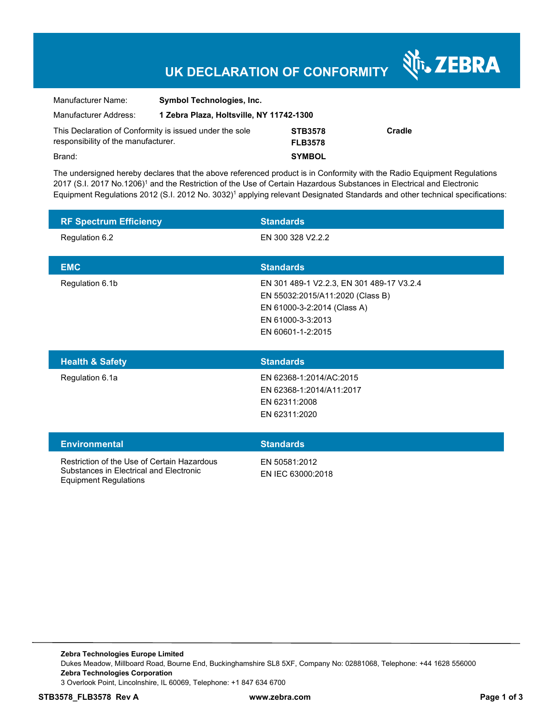## **UK DECLARATION OF CONFORMITY**

र्शे<sub>ं</sub> ZEBRA

| Manufacturer Name:                                                                             | <b>Symbol Technologies, Inc.</b>         |                                  |        |
|------------------------------------------------------------------------------------------------|------------------------------------------|----------------------------------|--------|
| Manufacturer Address:                                                                          | 1 Zebra Plaza, Holtsville, NY 11742-1300 |                                  |        |
| This Declaration of Conformity is issued under the sole<br>responsibility of the manufacturer. |                                          | <b>STB3578</b><br><b>FLB3578</b> | Cradle |
| Brand:                                                                                         |                                          | <b>SYMBOL</b>                    |        |

The undersigned hereby declares that the above referenced product is in Conformity with the Radio Equipment Regulations 2017 (S.I. 2017 No.1206)<sup>1</sup> and the Restriction of the Use of Certain Hazardous Substances in Electrical and Electronic Equipment Regulations 2012 (S.I. 2012 No. 3032)<sup>1</sup> applying relevant Designated Standards and other technical specifications:

| <b>RF Spectrum Efficiency</b> | <b>Standards</b>                                                                                                                                       |
|-------------------------------|--------------------------------------------------------------------------------------------------------------------------------------------------------|
| Regulation 6.2                | EN 300 328 V2.2.2                                                                                                                                      |
| <b>EMC</b>                    | <b>Standards</b>                                                                                                                                       |
| Regulation 6.1b               | EN 301 489-1 V2.2.3, EN 301 489-17 V3.2.4<br>EN 55032:2015/A11:2020 (Class B)<br>EN 61000-3-2:2014 (Class A)<br>EN 61000-3-3:2013<br>EN 60601-1-2:2015 |
| <b>Health &amp; Safety</b>    | <b>Standards</b>                                                                                                                                       |
| Regulation 6.1a               | EN 62368-1:2014/AC:2015<br>EN 62368-1:2014/A11:2017<br>EN 62311:2008<br>EN 62311:2020                                                                  |
| <b>Environmental</b>          | <b>Standards</b>                                                                                                                                       |

Restriction of the Use of Certain Hazardous Substances in Electrical and Electronic Equipment Regulations

EN 50581:2012 EN IEC 63000:2018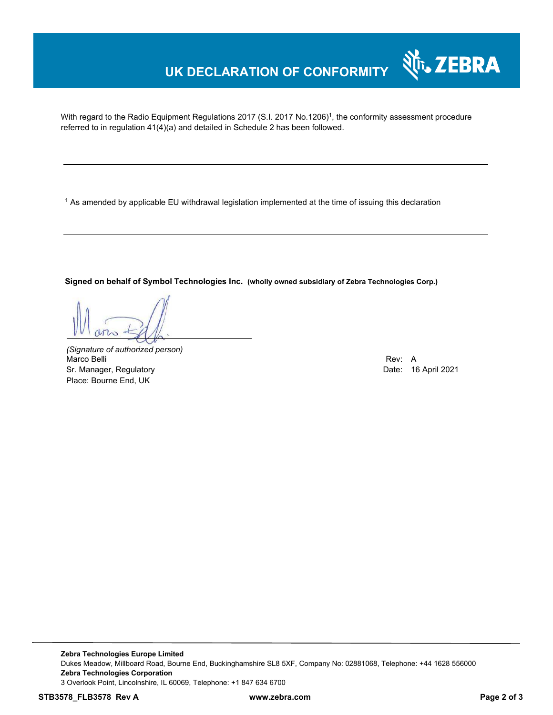## **UK DECLARATION OF CONFORMITY**

With regard to the Radio Equipment Regulations 2017 (S.I. 2017 No.1206)<sup>1</sup>, the conformity assessment procedure referred to in regulation 41(4)(a) and detailed in Schedule 2 has been followed.

 $^{\rm 1}$  As amended by applicable EU withdrawal legislation implemented at the time of issuing this declaration

**Signed on behalf of Symbol Technologies Inc. (wholly owned subsidiary of Zebra Technologies Corp.)**

*(Signature of authorized person)* Marco Belli Rev: A Alexander Company of the Company of the Company of the Company of the Company of the Company of the Company of the Company of the Company of the Company of the Company of the Company of the Company of th Sr. Manager, Regulatory **Date: 16 April 2021** Place: Bourne End, UK

र्शे<sub>ं</sub> ZEBRA